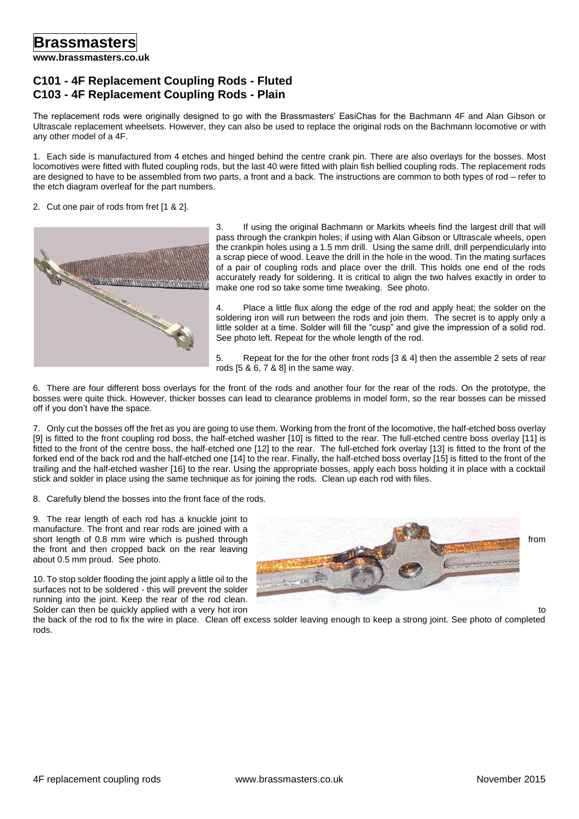## **C101 - 4F Replacement Coupling Rods - Fluted C103 - 4F Replacement Coupling Rods - Plain**

The replacement rods were originally designed to go with the Brassmasters' EasiChas for the Bachmann 4F and Alan Gibson or Ultrascale replacement wheelsets. However, they can also be used to replace the original rods on the Bachmann locomotive or with any other model of a 4F.

1. Each side is manufactured from 4 etches and hinged behind the centre crank pin. There are also overlays for the bosses. Most locomotives were fitted with fluted coupling rods, but the last 40 were fitted with plain fish bellied coupling rods. The replacement rods are designed to have to be assembled from two parts, a front and a back. The instructions are common to both types of rod – refer to the etch diagram overleaf for the part numbers.

## 2. Cut one pair of rods from fret [1 & 2].



3. If using the original Bachmann or Markits wheels find the largest drill that will pass through the crankpin holes; if using with Alan Gibson or Ultrascale wheels, open the crankpin holes using a 1.5 mm drill. Using the same drill, drill perpendicularly into a scrap piece of wood. Leave the drill in the hole in the wood. Tin the mating surfaces of a pair of coupling rods and place over the drill. This holds one end of the rods accurately ready for soldering. It is critical to align the two halves exactly in order to make one rod so take some time tweaking. See photo.

4. Place a little flux along the edge of the rod and apply heat; the solder on the soldering iron will run between the rods and join them. The secret is to apply only a little solder at a time. Solder will fill the "cusp" and give the impression of a solid rod. See photo left. Repeat for the whole length of the rod.

5. Repeat for the for the other front rods [3 & 4] then the assemble 2 sets of rear rods [5 & 6, 7 & 8] in the same way.

6. There are four different boss overlays for the front of the rods and another four for the rear of the rods. On the prototype, the bosses were quite thick. However, thicker bosses can lead to clearance problems in model form, so the rear bosses can be missed off if you don't have the space.

7. Only cut the bosses off the fret as you are going to use them. Working from the front of the locomotive, the half-etched boss overlay [9] is fitted to the front coupling rod boss, the half-etched washer [10] is fitted to the rear. The full-etched centre boss overlay [11] is fitted to the front of the centre boss, the half-etched one [12] to the rear. The full-etched fork overlay [13] is fitted to the front of the forked end of the back rod and the half-etched one [14] to the rear. Finally, the half-etched boss overlay [15] is fitted to the front of the trailing and the half-etched washer [16] to the rear. Using the appropriate bosses, apply each boss holding it in place with a cocktail stick and solder in place using the same technique as for joining the rods. Clean up each rod with files.

8. Carefully blend the bosses into the front face of the rods.

9. The rear length of each rod has a knuckle joint to manufacture. The front and rear rods are joined with a the front and then cropped back on the rear leaving about 0.5 mm proud. See photo.

10. To stop solder flooding the joint apply a little oil to the surfaces not to be soldered - this will prevent the solder running into the joint. Keep the rear of the rod clean.



the back of the rod to fix the wire in place. Clean off excess solder leaving enough to keep a strong joint. See photo of completed rods.